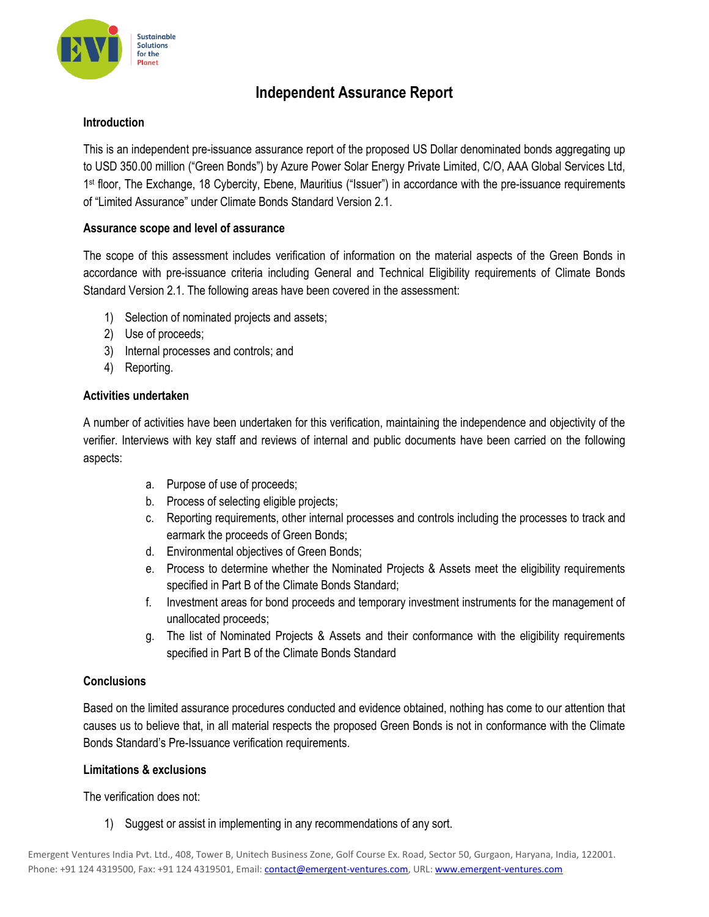

## **Independent Assurance Report**

## **Introduction**

This is an independent pre-issuance assurance report of the proposed US Dollar denominated bonds aggregating up to USD 350.00 million ("Green Bonds") by Azure Power Solar Energy Private Limited, C/O, AAA Global Services Ltd, 1<sup>st</sup> floor, The Exchange, 18 Cybercity, Ebene, Mauritius ("Issuer") in accordance with the pre-issuance requirements of "Limited Assurance" under Climate Bonds Standard Version 2.1.

## **Assurance scope and level of assurance**

The scope of this assessment includes verification of information on the material aspects of the Green Bonds in accordance with pre-issuance criteria including General and Technical Eligibility requirements of Climate Bonds Standard Version 2.1. The following areas have been covered in the assessment:

- 1) Selection of nominated projects and assets;
- 2) Use of proceeds;
- 3) Internal processes and controls; and
- 4) Reporting.

## **Activities undertaken**

A number of activities have been undertaken for this verification, maintaining the independence and objectivity of the verifier. Interviews with key staff and reviews of internal and public documents have been carried on the following aspects:

- a. Purpose of use of proceeds;
- b. Process of selecting eligible projects;
- c. Reporting requirements, other internal processes and controls including the processes to track and earmark the proceeds of Green Bonds;
- d. Environmental objectives of Green Bonds;
- e. Process to determine whether the Nominated Projects & Assets meet the eligibility requirements specified in Part B of the Climate Bonds Standard;
- f. Investment areas for bond proceeds and temporary investment instruments for the management of unallocated proceeds;
- g. The list of Nominated Projects & Assets and their conformance with the eligibility requirements specified in Part B of the Climate Bonds Standard

#### **Conclusions**

Based on the limited assurance procedures conducted and evidence obtained, nothing has come to our attention that causes us to believe that, in all material respects the proposed Green Bonds is not in conformance with the Climate Bonds Standard's Pre-Issuance verification requirements.

#### **Limitations & exclusions**

The verification does not:

1) Suggest or assist in implementing in any recommendations of any sort.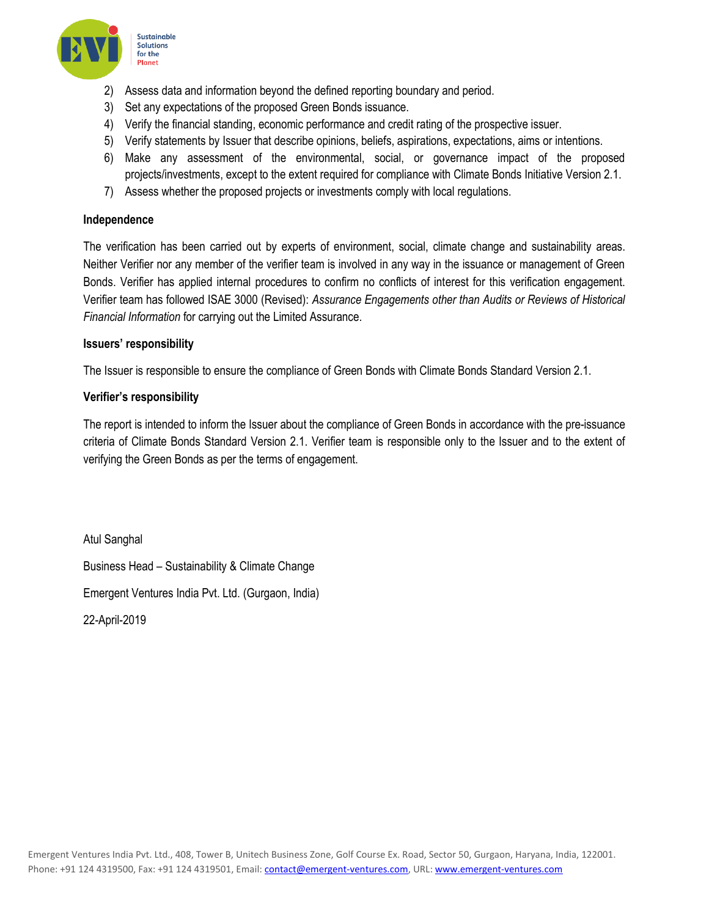

- 2) Assess data and information beyond the defined reporting boundary and period.
- 3) Set any expectations of the proposed Green Bonds issuance.
- 4) Verify the financial standing, economic performance and credit rating of the prospective issuer.
- 5) Verify statements by Issuer that describe opinions, beliefs, aspirations, expectations, aims or intentions.
- 6) Make any assessment of the environmental, social, or governance impact of the proposed projects/investments, except to the extent required for compliance with Climate Bonds Initiative Version 2.1.
- 7) Assess whether the proposed projects or investments comply with local regulations.

### **Independence**

The verification has been carried out by experts of environment, social, climate change and sustainability areas. Neither Verifier nor any member of the verifier team is involved in any way in the issuance or management of Green Bonds. Verifier has applied internal procedures to confirm no conflicts of interest for this verification engagement. Verifier team has followed ISAE 3000 (Revised): *Assurance Engagements other than Audits or Reviews of Historical Financial Information* for carrying out the Limited Assurance.

## **Issuers' responsibility**

The Issuer is responsible to ensure the compliance of Green Bonds with Climate Bonds Standard Version 2.1.

## **Verifier's responsibility**

The report is intended to inform the Issuer about the compliance of Green Bonds in accordance with the pre-issuance criteria of Climate Bonds Standard Version 2.1. Verifier team is responsible only to the Issuer and to the extent of verifying the Green Bonds as per the terms of engagement.

Atul Sanghal Business Head – Sustainability & Climate Change Emergent Ventures India Pvt. Ltd. (Gurgaon, India) 22-April-2019